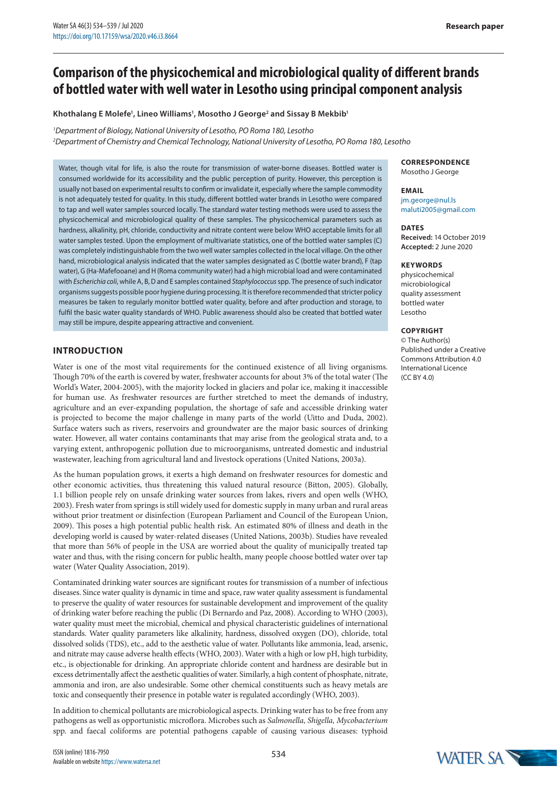# **Comparison of the physicochemical and microbiological quality of different brands of bottled water with well water in Lesotho using principal component analysis**

#### **Khothalang E Molefe1 , Lineo Williams1 , Mosotho J George2 and Sissay B Mekbib1**

#### *1 Department of Biology, National University of Lesotho, PO Roma 180, Lesotho*

*2 Department of Chemistry and Chemical Technology, National University of Lesotho, PO Roma 180, Lesotho*

Water, though vital for life, is also the route for transmission of water-borne diseases. Bottled water is consumed worldwide for its accessibility and the public perception of purity. However, this perception is usually not based on experimental results to confirm or invalidate it, especially where the sample commodity is not adequately tested for quality. In this study, different bottled water brands in Lesotho were compared to tap and well water samples sourced locally. The standard water testing methods were used to assess the physicochemical and microbiological quality of these samples. The physicochemical parameters such as hardness, alkalinity, pH, chloride, conductivity and nitrate content were below WHO acceptable limits for all water samples tested. Upon the employment of multivariate statistics, one of the bottled water samples (C) was completely indistinguishable from the two well water samples collected in the local village. On the other hand, microbiological analysis indicated that the water samples designated as C (bottle water brand), F (tap water), G (Ha-Mafefooane) and H (Roma community water) had a high microbial load and were contaminated with *Escherichia coli*, while A, B, D and E samples contained *Staphylococcus* spp. The presence of such indicator organisms suggests possible poor hygiene during processing. It is therefore recommended that stricter policy measures be taken to regularly monitor bottled water quality, before and after production and storage, to fulfil the basic water quality standards of WHO. Public awareness should also be created that bottled water may still be impure, despite appearing attractive and convenient.

## **INTRODUCTION**

Water is one of the most vital requirements for the continued existence of all living organisms. Though 70% of the earth is covered by water, freshwater accounts for about 3% of the total water (The World's Water, 2004-2005), with the majority locked in glaciers and polar ice, making it inaccessible for human use. As freshwater resources are further stretched to meet the demands of industry, agriculture and an ever-expanding population, the shortage of safe and accessible drinking water is projected to become the major challenge in many parts of the world (Uitto and Duda, 2002). Surface waters such as rivers, reservoirs and groundwater are the major basic sources of drinking water. However, all water contains contaminants that may arise from the geological strata and, to a varying extent, anthropogenic pollution due to microorganisms, untreated domestic and industrial wastewater, leaching from agricultural land and livestock operations (United Nations, 2003a).

As the human population grows, it exerts a high demand on freshwater resources for domestic and other economic activities, thus threatening this valued natural resource (Bitton, 2005). Globally, 1.1 billion people rely on unsafe drinking water sources from lakes, rivers and open wells (WHO, 2003). Fresh water from springs is still widely used for domestic supply in many urban and rural areas without prior treatment or disinfection (European Parliament and Council of the European Union, 2009). This poses a high potential public health risk. An estimated 80% of illness and death in the developing world is caused by water-related diseases (United Nations, 2003b). Studies have revealed that more than 56% of people in the USA are worried about the quality of municipally treated tap water and thus, with the rising concern for public health, many people choose bottled water over tap water (Water Quality Association, 2019).

Contaminated drinking water sources are significant routes for transmission of a number of infectious diseases. Since water quality is dynamic in time and space, raw water quality assessment is fundamental to preserve the quality of water resources for sustainable development and improvement of the quality of drinking water before reaching the public (Di Bernardo and Paz, 2008). According to WHO (2003), water quality must meet the microbial, chemical and physical characteristic guidelines of international standards. Water quality parameters like alkalinity, hardness, dissolved oxygen (DO), chloride, total dissolved solids (TDS), etc., add to the aesthetic value of water. Pollutants like ammonia, lead, arsenic, and nitrate may cause adverse health effects (WHO, 2003). Water with a high or low pH, high turbidity, etc., is objectionable for drinking. An appropriate chloride content and hardness are desirable but in excess detrimentally affect the aesthetic qualities of water. Similarly, a high content of phosphate, nitrate, ammonia and iron, are also undesirable. Some other chemical constituents such as heavy metals are toxic and consequently their presence in potable water is regulated accordingly (WHO, 2003).

In addition to chemical pollutants are microbiological aspects. Drinking water has to be free from any pathogens as well as opportunistic microflora. Microbes such as *Salmonella, Shigella, Mycobacterium*  spp. and faecal coliforms are potential pathogens capable of causing various diseases: typhoid

## **CORRESPONDENCE**

Mosotho J George

#### **EMAIL** jm.george@nul.ls maluti2005@gmail.com

#### **DATES**

**Received:** 14 October 2019 **Accepted:** 2 June 2020

#### **KEYWORDS**

physicochemical microbiological quality assessment bottled water Lesotho

## **COPYRIGHT**

© The Author(s) Published under a Creative Commons Attribution 4.0 International Licence (CC BY 4.0)

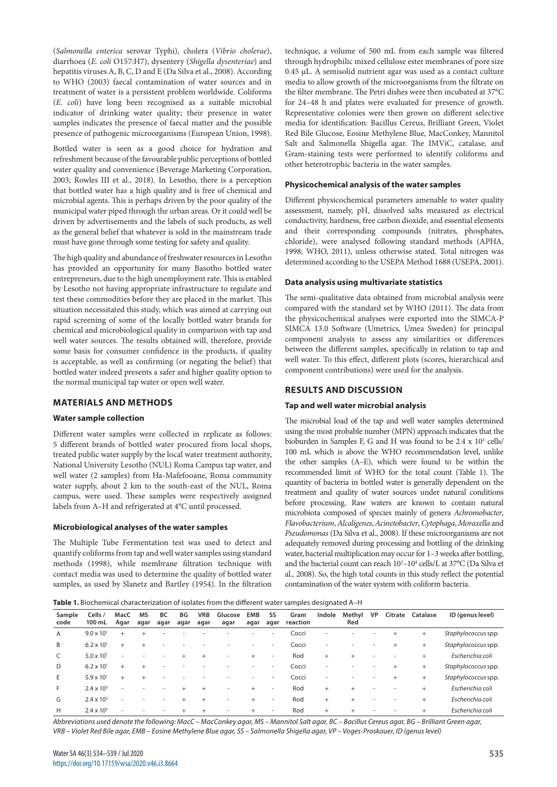(*Salmonella enterica* serovar Typhi), cholera (*Vibrio cholerae*), diarrhoea (*E. coli* O157:H7), dysentery (*Shigella dysenteriae*) and hepatitis viruses A, B, C, D and E (Da Silva et al., 2008). According to WHO (2003) faecal contamination of water sources and in treatment of water is a persistent problem worldwide. Coliforms (*E. coli*) have long been recognised as a suitable microbial indicator of drinking water quality; their presence in water samples indicates the presence of faecal matter and the possible presence of pathogenic microorganisms (European Union, 1998).

Bottled water is seen as a good choice for hydration and refreshment because of the favourable public perceptions of bottled water quality and convenience (Beverage Marketing Corporation, 2003; Rowles III et al., 2018). In Lesotho, there is a perception that bottled water has a high quality and is free of chemical and microbial agents. This is perhaps driven by the poor quality of the municipal water piped through the urban areas. Or it could well be driven by advertisements and the labels of such products, as well as the general belief that whatever is sold in the mainstream trade must have gone through some testing for safety and quality.

The high quality and abundance of freshwater resources in Lesotho has provided an opportunity for many Basotho bottled water entrepreneurs, due to the high unemployment rate. This is enabled by Lesotho not having appropriate infrastructure to regulate and test these commodities before they are placed in the market. This situation necessitated this study, which was aimed at carrying out rapid screening of some of the locally bottled water brands for chemical and microbiological quality in comparison with tap and well water sources. The results obtained will, therefore, provide some basis for consumer confidence in the products, if quality is acceptable, as well as confirming (or negating the belief) that bottled water indeed presents a safer and higher quality option to the normal municipal tap water or open well water.

## **MATERIALS AND METHODS**

#### **Water sample collection**

Different water samples were collected in replicate as follows: 5 different brands of bottled water procured from local shops, treated public water supply by the local water treatment authority, National University Lesotho (NUL) Roma Campus tap water, and well water (2 samples) from Ha-Mafefooane, Roma community water supply, about 2 km to the south-east of the NUL, Roma campus, were used. These samples were respectively assigned labels from A–H and refrigerated at 4°C until processed.

#### **Microbiological analyses of the water samples**

The Multiple Tube Fermentation test was used to detect and quantify coliforms from tap and well water samples using standard methods (1998), while membrane filtration technique with contact media was used to determine the quality of bottled water samples, as used by Slanetz and Bartley (1954). In the filtration

technique, a volume of 500 mL from each sample was filtered through hydrophilic mixed cellulose ester membranes of pore size 0.45 µL. A semisolid nutrient agar was used as a contact culture media to allow growth of the microorganisms from the filtrate on the filter membrane. The Petri dishes were then incubated at 37°C for 24–48 h and plates were evaluated for presence of growth. Representative colonies were then grown on different selective media for identification: Bacillus Cereus, Brilliant Green, Violet Red Bile Glucose, Eosine Methylene Blue, MacConkey, Mannitol Salt and Salmonella Shigella agar. The IMViC, catalase, and Gram-staining tests were performed to identify coliforms and other heterotrophic bacteria in the water samples.

#### **Physicochemical analysis of the water samples**

Different physicochemical parameters amenable to water quality assessment, namely, pH, dissolved salts measured as electrical conductivity, hardness, free carbon dioxide, and essential elements and their corresponding compounds (nitrates, phosphates, chloride), were analysed following standard methods (APHA, 1998; WHO, 2011), unless otherwise stated. Total nitrogen was determined according to the USEPA Method 1688 (USEPA, 2001).

#### **Data analysis using multivariate statistics**

The semi-qualitative data obtained from microbial analysis were compared with the standard set by WHO (2011). The data from the physicochemical analyses were exported into the SIMCA-P SIMCA 13.0 Software (Umetrics, Umea Sweden) for principal component analysis to assess any similarities or differences between the different samples, specifically in relation to tap and well water. To this effect, different plots (scores, hierarchical and component contributions) were used for the analysis.

## **RESULTS AND DISCUSSION**

#### **Tap and well water microbial analysis**

The microbial load of the tap and well water samples determined using the most probable number (MPN) approach indicates that the bioburden in Samples F, G and H was found to be  $2.4 \times 10^3$  cells/ 100 mL which is above the WHO recommendation level, unlike the other samples (A–E), which were found to be within the recommended limit of WHO for the total count (Table 1). The quantity of bacteria in bottled water is generally dependent on the treatment and quality of water sources under natural conditions before processing. Raw waters are known to contain natural microbiota composed of species mainly of genera *Achromobacter*, *Flavobacterium*, *Alcaligenes*, *Acinetobacter*, *Cytophaga*, *Moraxella* and *Pseudomonas* (Da Silva et al., 2008). If these microorganisms are not adequately removed during processing and bottling of the drinking water, bacterial multiplication may occur for 1–3 weeks after bottling, and the bacterial count can reach  $10^3 - 10^4$  cells/L at 37°C (Da Silva et al*.,* 2008). So, the high total counts in this study reflect the potential contamination of the water system with coliform bacteria.

**Table 1.** Biochemical characterization of isolates from the different water samples designated A–H

| Sample<br>code | Cells /<br>100 mL   | MacC<br>Agar             | <b>MS</b><br>agar | BC<br>agar               | ΒG<br>agar | <b>VRB</b><br>agar | Glucose<br>agar | EMB<br>agar | SS<br>agar               | Gram<br>reaction | Indole                   | Methyl<br>Red | <b>VP</b> | Citrate Catalase | ID (genus level)    |
|----------------|---------------------|--------------------------|-------------------|--------------------------|------------|--------------------|-----------------|-------------|--------------------------|------------------|--------------------------|---------------|-----------|------------------|---------------------|
| A              | $9.0 \times 10^{1}$ | $\pm$                    |                   |                          |            |                    |                 |             | ۰                        | Cocci            | ۰                        |               |           | $\ddot{}$        | Staphylococcus spp. |
| B              | $6.2 \times 10^{1}$ | $^{+}$                   |                   |                          |            |                    |                 |             | $\overline{\phantom{a}}$ | Cocci            | $\overline{\phantom{a}}$ |               |           | $+$              | Staphylococcus spp. |
|                | $5.0 \times 10^{1}$ | $\overline{\phantom{a}}$ |                   | $\overline{\phantom{a}}$ |            |                    |                 | $+$         | $\sim$                   | Rod              | $+$                      | $\ddot{}$     |           | $^{+}$           | Escherichia coli    |
| D              | $6.2 \times 10^{1}$ | $\ddot{}$                |                   |                          |            |                    |                 |             | ۰                        | Cocci            | ۰                        |               |           | $\ddot{}$        | Staphylococcus spp. |
| E.             | $5.9 \times 10^{1}$ | $+$                      |                   |                          |            |                    |                 |             | $\overline{\phantom{a}}$ | Cocci            | ۰                        |               |           | $+$              | Staphylococcus spp. |
| F.             | $2.4 \times 10^{3}$ | $\overline{\phantom{a}}$ |                   |                          |            |                    | ۰               |             | $\overline{\phantom{a}}$ | Rod              | $^{+}$                   | $\ddot{}$     |           | $^{+}$           | Escherichia coli    |
| G              | $2.4 \times 10^{3}$ | $\overline{\phantom{a}}$ |                   | $\overline{\phantom{a}}$ |            |                    | ۰               |             | $\overline{\phantom{a}}$ | Rod              | $^{+}$                   | $\ddot{}$     |           | $\ddot{}$        | Escherichia coli    |
| Н              | $2.4 \times 10^{3}$ |                          |                   |                          |            |                    |                 |             | $\overline{\phantom{a}}$ | Rod              | $^{+}$                   |               |           | $\ddot{}$        | Escherichia coli    |

*Abbreviations used denote the following: MacC – MacConkey agar, MS – Mannitol Salt agar, BC – Bacillus Cereus agar, BG – Brilliant Green agar, VRB – Violet Red Bile agar, EMB – Eosine Methylene Blue agar, SS – Salmonella Shigella agar, VP – Voges-Proskauer, ID (genus level)*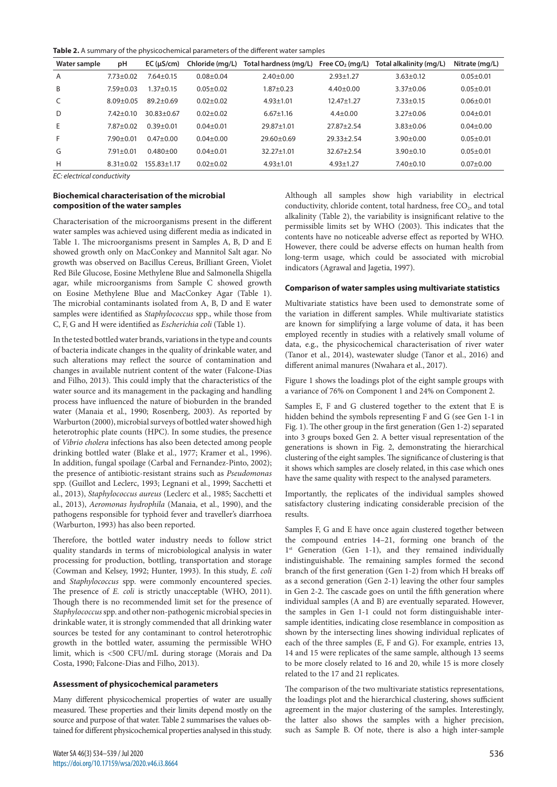**Table 2.** A summary of the physicochemical parameters of the different water samples

| Water sample   | рH              | EC (µS/cm)        | Chloride (mg/L) | Total hardness (mg/L) | Free $CO2$ (mg/L) | Total alkalinity (mg/L) | Nitrate (mg/L) |
|----------------|-----------------|-------------------|-----------------|-----------------------|-------------------|-------------------------|----------------|
| $\overline{A}$ | $7.73 + 0.02$   | $7.64 \pm 0.15$   | $0.08 + 0.04$   | $2.40+0.00$           | $2.93 + 1.27$     | $3.63 \pm 0.12$         | $0.05 + 0.01$  |
| B              | $7.59 + 0.03$   | $1.37 + 0.15$     | $0.05 + 0.02$   | $1.87 + 0.23$         | $4.40 \pm 0.00$   | $3.37 + 0.06$           | $0.05 + 0.01$  |
| C              | $8.09 + 0.05$   | $89.2 \pm 0.69$   | $0.02 + 0.02$   | $4.93 + 1.01$         | $12.47 + 1.27$    | $7.33 + 0.15$           | $0.06 + 0.01$  |
| D              | $7.42 + 0.10$   | $30.83 + 0.67$    | $0.02 + 0.02$   | $6.67 \pm 1.16$       | $4.4 \pm 0.00$    | $3.27 + 0.06$           | $0.04 + 0.01$  |
| E              | $7.87 + 0.02$   | $0.39 + 0.01$     | $0.04 \pm 0.01$ | $29.87 \pm 1.01$      | $27.87 + 2.54$    | $3.83 + 0.06$           | $0.04 + 0.00$  |
| F              | $7.90 + 0.01$   | $0.47 + 0.00$     | $0.04 \pm 0.00$ | $29.60 + 0.69$        | $29.33 + 2.54$    | $3.90 + 0.00$           | $0.05 + 0.01$  |
| G              | $7.91 \pm 0.01$ | $0.480 + 00$      | $0.04 \pm 0.01$ | $32.27 \pm 1.01$      | $32.67 + 2.54$    | $3.90 + 0.10$           | $0.05 + 0.01$  |
| H              | $8.31 \pm 0.02$ | $155.83 \pm 1.17$ | $0.02 \pm 0.02$ | $4.93 \pm 1.01$       | $4.93 \pm 1.27$   | $7.40 \pm 0.10$         | $0.07 + 0.00$  |
|                |                 |                   |                 |                       |                   |                         |                |

*EC: electrical conductivity*

## **Biochemical characterisation of the microbial composition of the water samples**

Characterisation of the microorganisms present in the different water samples was achieved using different media as indicated in Table 1. The microorganisms present in Samples A, B, D and E showed growth only on MacConkey and Mannitol Salt agar. No growth was observed on Bacillus Cereus, Brilliant Green, Violet Red Bile Glucose, Eosine Methylene Blue and Salmonella Shigella agar, while microorganisms from Sample C showed growth on Eosine Methylene Blue and MacConkey Agar (Table 1). The microbial contaminants isolated from A, B, D and E water samples were identified as *Staphylococcus* spp., while those from C, F, G and H were identified as *Escherichia coli* (Table 1).

In the tested bottled water brands, variations in the type and counts of bacteria indicate changes in the quality of drinkable water, and such alterations may reflect the source of contamination and changes in available nutrient content of the water (Falcone-Dias and Filho, 2013). This could imply that the characteristics of the water source and its management in the packaging and handling process have influenced the nature of bioburden in the branded water (Manaia et al., 1990; Rosenberg, 2003). As reported by Warburton (2000), microbial surveys of bottled water showed high heterotrophic plate counts (HPC). In some studies, the presence of *Vibrio cholera* infections has also been detected among people drinking bottled water (Blake et al., 1977; Kramer et al., 1996). In addition, fungal spoilage (Carbal and Fernandez-Pinto, 2002); the presence of antibiotic-resistant strains such as *Pseudomonas* spp. (Guillot and Leclerc, 1993; Legnani et al., 1999; Sacchetti et al., 2013), *Staphylococcus aureus* (Leclerc et al., 1985; Sacchetti et al., 2013), *Aeromonas hydrophila* (Manaia, et al., 1990), and the pathogens responsible for typhoid fever and traveller's diarrhoea (Warburton, 1993) has also been reported.

Therefore, the bottled water industry needs to follow strict quality standards in terms of microbiological analysis in water processing for production, bottling, transportation and storage (Cowman and Kelsey, 1992; Hunter, 1993). In this study, *E. coli* and *Staphylococcus* spp. were commonly encountered species. The presence of *E. coli* is strictly unacceptable (WHO, 2011). Though there is no recommended limit set for the presence of *Staphylococcus* spp. and other non-pathogenic microbial species in drinkable water, it is strongly commended that all drinking water sources be tested for any contaminant to control heterotrophic growth in the bottled water, assuming the permissible WHO limit, which is <500 CFU/mL during storage (Morais and Da Costa, 1990; Falcone-Dias and Filho, 2013).

#### **Assessment of physicochemical parameters**

Many different physicochemical properties of water are usually measured. These properties and their limits depend mostly on the source and purpose of that water. Table 2 summarises the values obtained for different physicochemical properties analysed in this study. Although all samples show high variability in electrical conductivity, chloride content, total hardness, free  $CO<sub>2</sub>$ , and total alkalinity (Table 2), the variability is insignificant relative to the permissible limits set by WHO (2003). This indicates that the contents have no noticeable adverse effect as reported by WHO. However, there could be adverse effects on human health from long-term usage, which could be associated with microbial indicators (Agrawal and Jagetia, 1997).

#### **Comparison of water samples using multivariate statistics**

Multivariate statistics have been used to demonstrate some of the variation in different samples. While multivariate statistics are known for simplifying a large volume of data, it has been employed recently in studies with a relatively small volume of data, e.g., the physicochemical characterisation of river water (Tanor et al., 2014), wastewater sludge (Tanor et al., 2016) and different animal manures (Nwahara et al., 2017).

Figure 1 shows the loadings plot of the eight sample groups with a variance of 76% on Component 1 and 24% on Component 2.

Samples E, F and G clustered together to the extent that E is hidden behind the symbols representing F and G (see Gen 1-1 in Fig. 1). The other group in the first generation (Gen 1-2) separated into 3 groups boxed Gen 2. A better visual representation of the generations is shown in Fig. 2, demonstrating the hierarchical clustering of the eight samples. The significance of clustering is that it shows which samples are closely related, in this case which ones have the same quality with respect to the analysed parameters.

Importantly, the replicates of the individual samples showed satisfactory clustering indicating considerable precision of the results.

Samples F, G and E have once again clustered together between the compound entries 14–21, forming one branch of the 1<sup>st</sup> Generation (Gen 1-1), and they remained individually indistinguishable. The remaining samples formed the second branch of the first generation (Gen 1-2) from which H breaks off as a second generation (Gen 2-1) leaving the other four samples in Gen 2-2. The cascade goes on until the fifth generation where individual samples (A and B) are eventually separated. However, the samples in Gen 1-1 could not form distinguishable intersample identities, indicating close resemblance in composition as shown by the intersecting lines showing individual replicates of each of the three samples (E, F and G). For example, entries 13, 14 and 15 were replicates of the same sample, although 13 seems to be more closely related to 16 and 20, while 15 is more closely related to the 17 and 21 replicates.

The comparison of the two multivariate statistics representations, the loadings plot and the hierarchical clustering, shows sufficient agreement in the major clustering of the samples. Interestingly, the latter also shows the samples with a higher precision, such as Sample B. Of note, there is also a high inter-sample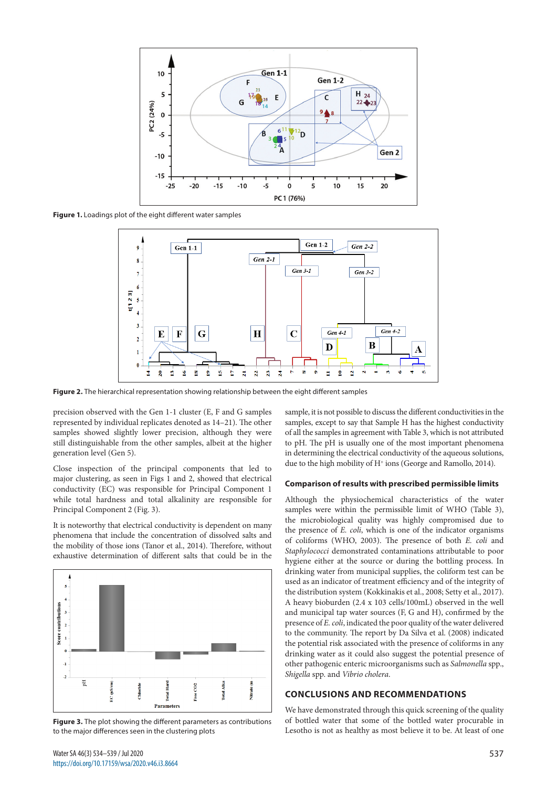

**Figure 1.** Loadings plot of the eight different water samples



**Figure 2.** The hierarchical representation showing relationship between the eight different samples

precision observed with the Gen 1-1 cluster (E, F and G samples represented by individual replicates denoted as 14–21). The other samples showed slightly lower precision, although they were still distinguishable from the other samples, albeit at the higher generation level (Gen 5).

Close inspection of the principal components that led to major clustering, as seen in Figs 1 and 2, showed that electrical conductivity (EC) was responsible for Principal Component 1 while total hardness and total alkalinity are responsible for Principal Component 2 (Fig. 3).

It is noteworthy that electrical conductivity is dependent on many phenomena that include the concentration of dissolved salts and the mobility of those ions (Tanor et al., 2014). Therefore, without exhaustive determination of different salts that could be in the



**Figure 3.** The plot showing the different parameters as contributions to the major differences seen in the clustering plots

sample, it is not possible to discuss the different conductivities in the samples, except to say that Sample H has the highest conductivity of all the samples in agreement with Table 3, which is not attributed to pH. The pH is usually one of the most important phenomena in determining the electrical conductivity of the aqueous solutions, due to the high mobility of H<sup>+</sup> ions (George and Ramollo, 2014).

#### **Comparison of results with prescribed permissible limits**

Although the physiochemical characteristics of the water samples were within the permissible limit of WHO (Table 3), the microbiological quality was highly compromised due to the presence of *E. coli*, which is one of the indicator organisms of coliforms (WHO, 2003). The presence of both *E. coli* and *Staphylococci* demonstrated contaminations attributable to poor hygiene either at the source or during the bottling process. In drinking water from municipal supplies, the coliform test can be used as an indicator of treatment efficiency and of the integrity of the distribution system (Kokkinakis et al., 2008; Setty et al., 2017). A heavy bioburden (2.4 x 103 cells/100mL) observed in the well and municipal tap water sources (F, G and H), confirmed by the presence of *E. coli*, indicated the poor quality of the water delivered to the community. The report by Da Silva et al. (2008) indicated the potential risk associated with the presence of coliforms in any drinking water as it could also suggest the potential presence of other pathogenic enteric microorganisms such as *Salmonella* spp., *Shigella* spp. and *Vibrio cholera*.

#### **CONCLUSIONS AND RECOMMENDATIONS**

We have demonstrated through this quick screening of the quality of bottled water that some of the bottled water procurable in Lesotho is not as healthy as most believe it to be. At least of one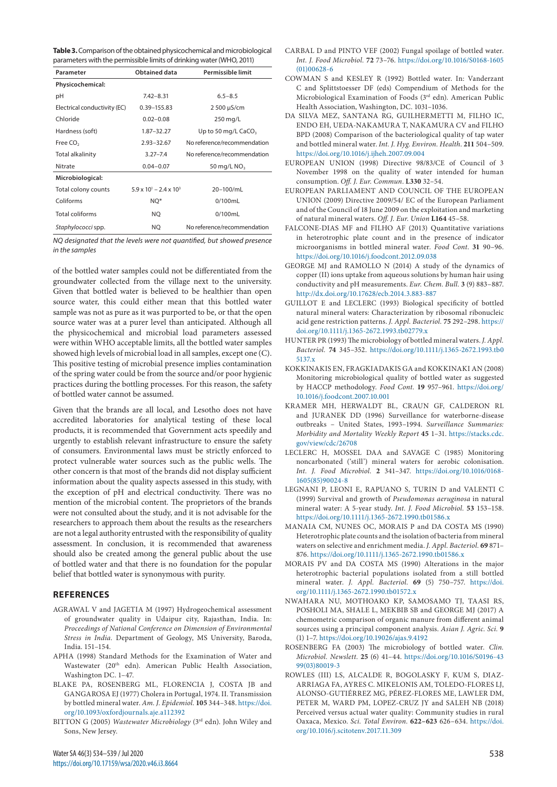| Parameter                    | Obtained data                           | Permissible limit           |
|------------------------------|-----------------------------------------|-----------------------------|
| Physicochemical:             |                                         |                             |
| рH                           | $7.42 - 8.31$                           | $6.5 - 8.5$                 |
| Electrical conductivity (EC) | 0.39-155.83                             | 2 500 µS/cm                 |
| Chloride                     | $0.02 - 0.08$                           | 250 mg/L                    |
| Hardness (soft)              | 1.87-32.27                              | Up to 50 mg/L $CaCO3$       |
| Free CO <sub>2</sub>         | $2.93 - 32.67$                          | No reference/recommendation |
| Total alkalinity             | $3.27 - 7.4$                            | No reference/recommendation |
| Nitrate                      | $0.04 - 0.07$                           | 50 mg/L $NO3$               |
| Microbiological:             |                                         |                             |
| Total colony counts          | $5.9 \times 10^{1} - 2.4 \times 10^{3}$ | 20-100/mL                   |
| Coliforms                    | NQ*                                     | 0/100mL                     |
| <b>Total coliforms</b>       | NQ                                      | 0/100mL                     |
| Staphylococci spp.           | NQ                                      | No reference/recommendation |

*NQ designated that the levels were not quantified, but showed presence in the samples*

of the bottled water samples could not be differentiated from the groundwater collected from the village next to the university. Given that bottled water is believed to be healthier than open source water, this could either mean that this bottled water sample was not as pure as it was purported to be, or that the open source water was at a purer level than anticipated. Although all the physicochemical and microbial load parameters assessed were within WHO acceptable limits, all the bottled water samples showed high levels of microbial load in all samples, except one (C). This positive testing of microbial presence implies contamination of the spring water could be from the source and/or poor hygienic practices during the bottling processes. For this reason, the safety of bottled water cannot be assumed.

Given that the brands are all local, and Lesotho does not have accredited laboratories for analytical testing of these local products, it is recommended that Government acts speedily and urgently to establish relevant infrastructure to ensure the safety of consumers. Environmental laws must be strictly enforced to protect vulnerable water sources such as the public wells. The other concern is that most of the brands did not display sufficient information about the quality aspects assessed in this study, with the exception of pH and electrical conductivity. There was no mention of the microbial content. The proprietors of the brands were not consulted about the study, and it is not advisable for the researchers to approach them about the results as the researchers are not a legal authority entrusted with the responsibility of quality assessment. In conclusion, it is recommended that awareness should also be created among the general public about the use of bottled water and that there is no foundation for the popular belief that bottled water is synonymous with purity.

## **REFERENCES**

- AGRAWAL V and JAGETIA M (1997) Hydrogeochemical assessment of groundwater quality in Udaipur city, Rajasthan, India. In: *Proceedings of National Conference on Dimension of Environmental Stress in India.* Department of Geology, MS University, Baroda, India. 151–154.
- APHA (1998) Standard Methods for the Examination of Water and Wastewater (20<sup>th</sup> edn). American Public Health Association, Washington DC. 1–47.
- BLAKE PA, ROSENBERG ML, FLORENCIA J, COSTA JB and GANGAROSA EJ (1977) Cholera in Portugal, 1974. II. Transmission by bottled mineral water. *Am. J. Epidemiol.* **105** 344–348. [https://doi.](https://doi.org/10.1093/oxfordjournals.aje.a112392) [org/10.1093/oxfordjournals.aje.a112392](https://doi.org/10.1093/oxfordjournals.aje.a112392)
- BITTON G (2005) *Wastewater Microbiology* (3rd edn). John Wiley and Sons, New Jersey.
- CARBAL D and PINTO VEF (2002) Fungal spoilage of bottled water. *Int. J. Food Microbiol.* **72** 73–76. [https://doi.org/10.1016/S0168-1605](https://doi.org/10.1016/S0168-1605(01)00628-6) [\(01\)00628-6](https://doi.org/10.1016/S0168-1605(01)00628-6)
- COWMAN S and KESLEY R (1992) Bottled water. In: Vanderzant C and Splittstoesser DF (eds) Compendium of Methods for the Microbiological Examination of Foods (3rd edn). American Public Health Association, Washington, DC. 1031–1036.
- DA SILVA MEZ, SANTANA RG, GUILHERMETTI M, FILHO IC, ENDO EH, UEDA-NAKAMURA T, NAKAMURA CV and FILHO BPD (2008) Comparison of the bacteriological quality of tap water and bottled mineral water. *Int. J. Hyg. Environ. Health*. **211** 504–509. <https://doi.org/10.1016/j.ijheh.2007.09.004>
- EUROPEAN UNION (1998) Directive 98/83/CE of Council of 3 November 1998 on the quality of water intended for human consumption. *Off. J. Eur. Commun*. **L330** 32–54.
- EUROPEAN PARLIAMENT AND COUNCIL OF THE EUROPEAN UNION (2009) Directive 2009/54/ EC of the European Parliament and of the Council of 18 June 2009 on the exploitation and marketing of natural mineral waters. *Off. J. Eur. Union* **L164** 45–58.
- FALCONE-DIAS MF and FILHO AF (2013) Quantitative variations in heterotrophic plate count and in the presence of indicator microorganisms in bottled mineral water. *Food Cont*. **31** 90–96. <https://doi.org/10.1016/j.foodcont.2012.09.038>
- GEORGE MJ and RAMOLLO N (2014) A study of the dynamics of copper (II) ions uptake from aqueous solutions by human hair using conductivity and pH measurements. *Eur. Chem. Bull.* **3** (9) 883–887. <http://dx.doi.org/10.17628/ecb.2014.3.883-887>
- GUILLOT E and LECLERC (1993) Biological specificity of bottled natural mineral waters: Characterization by ribosomal ribonucleic acid gene restriction patterns. *J. Appl. Bacteriol.* **75** 292–298. [https://](https://doi.org/10.1111/j.1365-2672.1993.tb02779.x) [doi.org/10.1111/j.1365-2672.1993.tb02779.x](https://doi.org/10.1111/j.1365-2672.1993.tb02779.x)
- HUNTER PR (1993) The microbiology of bottled mineral waters. *J. Appl. Bacteriol.* **74** 345–352. [https://doi.org/10.1111/j.1365-2672.1993.tb0](https://doi.org/10.1111/j.1365-2672.1993.tb05137.x) [5137.x](https://doi.org/10.1111/j.1365-2672.1993.tb05137.x)
- KOKKINAKIS EN, FRAGKIADAKIS GA and KOKKINAKI AN (2008) Monitoring microbiological quality of bottled water as suggested by HACCP methodology. *Food Cont.* **19** 957–961. [https://doi.org/](https://doi.org/10.1016/j.foodcont.2007.10.001) [10.1016/j.foodcont.2007.10.001](https://doi.org/10.1016/j.foodcont.2007.10.001)
- KRAMER MH, HERWALDT BL, CRAUN GF, CALDERON RL and JURANEK DD (1996) Surveillance for waterborne-disease outbreaks – United States, 1993–1994. *Surveillance Summaries: Morbidity and Mortality Weekly Report* **45** 1–31. [https://stacks.cdc.](https://stacks.cdc.gov/view/cdc/26708) [gov/view/cdc/26708](https://stacks.cdc.gov/view/cdc/26708)
- LECLERC H, MOSSEL DAA and SAVAGE C (1985) Monitoring noncarbonated ('still') mineral waters for aerobic colonisation. *Int. J. Food Microbiol.* **2** 341–347. [https://doi.org/10.1016/0168-](https://doi.org/10.1016/0168-1605(85)90024-8) [1605\(85\)90024-8](https://doi.org/10.1016/0168-1605(85)90024-8)
- LEGNANI P, LEONI E, RAPUANO S, TURIN D and VALENTI C (1999) Survival and growth of *Pseudomonas aeruginosa* in natural mineral water: A 5-year study. *Int. J. Food Microbiol.* **53** 153–158. <https://doi.org/10.1111/j.1365-2672.1990.tb01586.x>
- MANAIA CM, NUNES OC, MORAIS P and DA COSTA MS (1990) Heterotrophic plate counts and the isolation of bacteria from mineral waters on selective and enrichment media. *J. Appl. Bacteriol.* **69** 871– 876. <https://doi.org/10.1111/j.1365-2672.1990.tb01586.x>
- MORAIS PV and DA COSTA MS (1990) Alterations in the major heterotrophic bacterial populations isolated from a still bottled mineral water. *J. Appl. Bacteriol.* **69** (5) 750–757. [https://doi.](https://doi.org/10.1111/j.1365-2672.1990.tb01572.x) [org/10.1111/j.1365-2672.1990.tb01572.x](https://doi.org/10.1111/j.1365-2672.1990.tb01572.x)
- NWAHARA NU, MOTHOAKO KP, SAMOSAMO TJ, TAASI RS, POSHOLI MA, SHALE L, MEKBIB SB and GEORGE MJ (2017) A chemometric comparison of organic manure from different animal sources using a principal component analysis. *Asian J. Agric. Sci.* **9**  (1) 1–7.<https://doi.org/10.19026/ajas.9.4192>
- ROSENBERG FA (2003) The microbiology of bottled water. *Clin. Microbiol. Newslett.* **25** (6) 41–44. [https://doi.org/10.1016/S0196-43](https://doi.org/10.1016/S0196-4399(03)80019-3) [99\(03\)80019-3](https://doi.org/10.1016/S0196-4399(03)80019-3)
- ROWLES (III) LS, ALCALDE R, BOGOLASKY F, KUM S, DIAZ-ARRIAGA FA, AYRES C. MIKELONIS AM, TOLEDO-FLORES LJ, ALONSO-GUTIÉRREZ MG, PÉREZ-FLORES ME, LAWLER DM, PETER M, WARD PM, LOPEZ-CRUZ JY and SALEH NB (2018) Perceived versus actual water quality: Community studies in rural Oaxaca, Mexico. *Sci. Total Environ.* **622–623** 626–634. [https://doi.](https://doi.org/10.1016/j.scitotenv.2017.11.309) [org/10.1016/j.scitotenv.2017.11.309](https://doi.org/10.1016/j.scitotenv.2017.11.309)